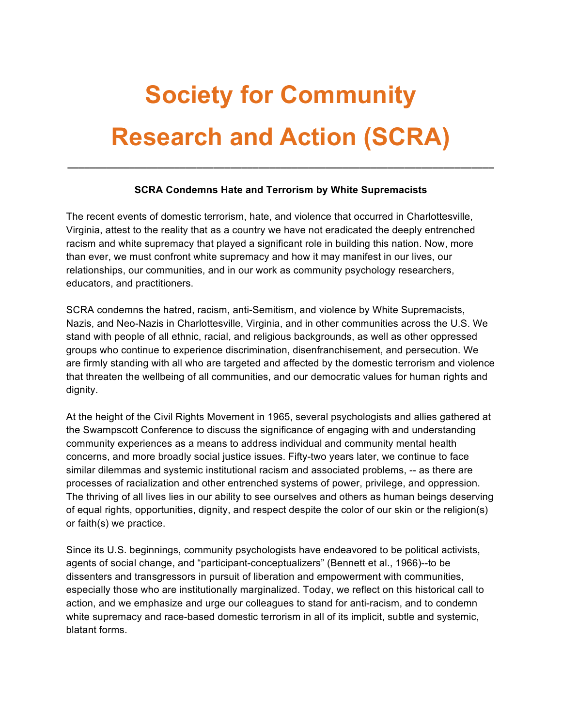# **Society for Community Research and Action (SCRA)**

## **SCRA Condemns Hate and Terrorism by White Supremacists**

**\_\_\_\_\_\_\_\_\_\_\_\_\_\_\_\_\_\_\_\_\_\_\_\_\_\_\_\_\_\_\_\_\_\_\_\_\_\_\_\_\_\_\_\_\_\_\_\_\_\_\_\_\_\_\_\_\_\_\_\_\_\_\_\_\_\_\_\_\_\_\_\_\_\_\_\_**

The recent events of domestic terrorism, hate, and violence that occurred in Charlottesville, Virginia, attest to the reality that as a country we have not eradicated the deeply entrenched racism and white supremacy that played a significant role in building this nation. Now, more than ever, we must confront white supremacy and how it may manifest in our lives, our relationships, our communities, and in our work as community psychology researchers, educators, and practitioners.

SCRA condemns the hatred, racism, anti-Semitism, and violence by White Supremacists, Nazis, and Neo-Nazis in Charlottesville, Virginia, and in other communities across the U.S. We stand with people of all ethnic, racial, and religious backgrounds, as well as other oppressed groups who continue to experience discrimination, disenfranchisement, and persecution. We are firmly standing with all who are targeted and affected by the domestic terrorism and violence that threaten the wellbeing of all communities, and our democratic values for human rights and dignity.

At the height of the Civil Rights Movement in 1965, several psychologists and allies gathered at the Swampscott Conference to discuss the significance of engaging with and understanding community experiences as a means to address individual and community mental health concerns, and more broadly social justice issues. Fifty-two years later, we continue to face similar dilemmas and systemic institutional racism and associated problems, -- as there are processes of racialization and other entrenched systems of power, privilege, and oppression. The thriving of all lives lies in our ability to see ourselves and others as human beings deserving of equal rights, opportunities, dignity, and respect despite the color of our skin or the religion(s) or faith(s) we practice.

Since its U.S. beginnings, community psychologists have endeavored to be political activists, agents of social change, and "participant-conceptualizers" (Bennett et al., 1966)--to be dissenters and transgressors in pursuit of liberation and empowerment with communities, especially those who are institutionally marginalized. Today, we reflect on this historical call to action, and we emphasize and urge our colleagues to stand for anti-racism, and to condemn white supremacy and race-based domestic terrorism in all of its implicit, subtle and systemic, blatant forms.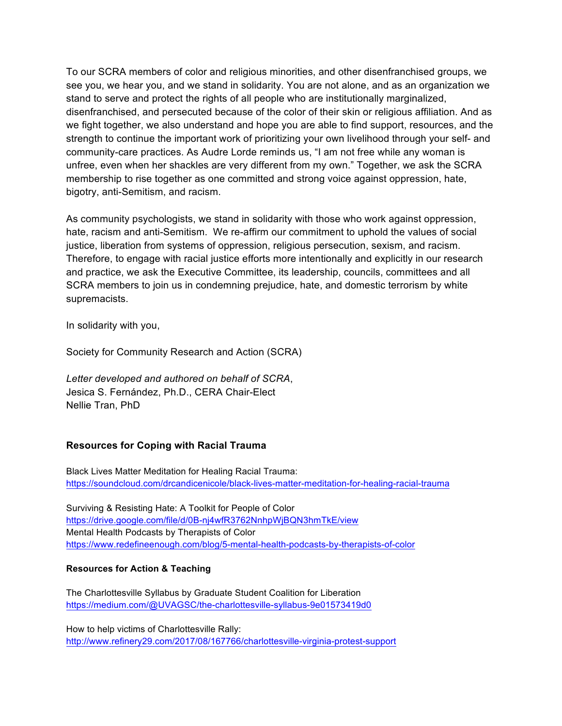To our SCRA members of color and religious minorities, and other disenfranchised groups, we see you, we hear you, and we stand in solidarity. You are not alone, and as an organization we stand to serve and protect the rights of all people who are institutionally marginalized, disenfranchised, and persecuted because of the color of their skin or religious affiliation. And as we fight together, we also understand and hope you are able to find support, resources, and the strength to continue the important work of prioritizing your own livelihood through your self- and community-care practices. As Audre Lorde reminds us, "I am not free while any woman is unfree, even when her shackles are very different from my own." Together, we ask the SCRA membership to rise together as one committed and strong voice against oppression, hate, bigotry, anti-Semitism, and racism.

As community psychologists, we stand in solidarity with those who work against oppression, hate, racism and anti-Semitism. We re-affirm our commitment to uphold the values of social justice, liberation from systems of oppression, religious persecution, sexism, and racism. Therefore, to engage with racial justice efforts more intentionally and explicitly in our research and practice, we ask the Executive Committee, its leadership, councils, committees and all SCRA members to join us in condemning prejudice, hate, and domestic terrorism by white supremacists.

In solidarity with you,

Society for Community Research and Action (SCRA)

*Letter developed and authored on behalf of SCRA*, Jesica S. Fernández, Ph.D., CERA Chair-Elect Nellie Tran, PhD

## **Resources for Coping with Racial Trauma**

Black Lives Matter Meditation for Healing Racial Trauma: https://soundcloud.com/drcandicenicole/black-lives-matter-meditation-for-healing-racial-trauma

Surviving & Resisting Hate: A Toolkit for People of Color https://drive.google.com/file/d/0B-nj4wfR3762NnhpWjBQN3hmTkE/view Mental Health Podcasts by Therapists of Color https://www.redefineenough.com/blog/5-mental-health-podcasts-by-therapists-of-color

### **Resources for Action & Teaching**

The Charlottesville Syllabus by Graduate Student Coalition for Liberation https://medium.com/@UVAGSC/the-charlottesville-syllabus-9e01573419d0

How to help victims of Charlottesville Rally: http://www.refinery29.com/2017/08/167766/charlottesville-virginia-protest-support